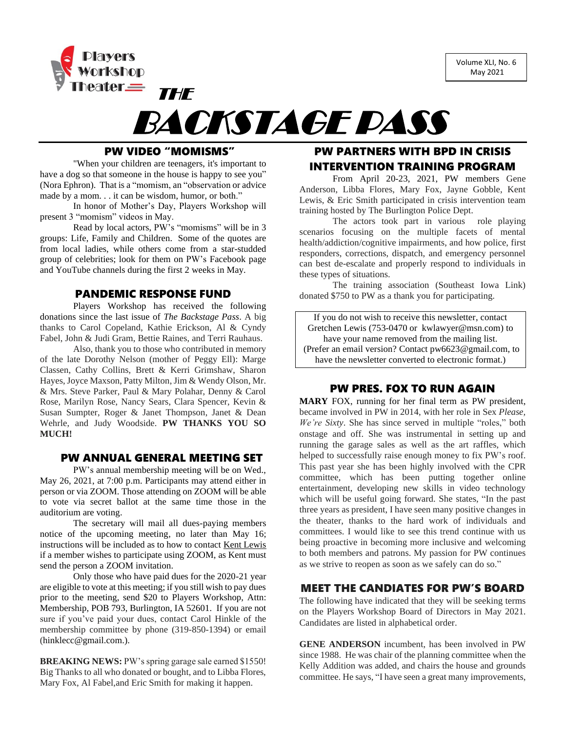Volume XLI, No. 6 May 2021



# BACKSTAGE PASS

## PW VIDEO "MOMISMS"

"When your children are teenagers, it's important to have a dog so that someone in the house is happy to see you" (Nora Ephron). That is a "momism, an "observation or advice made by a mom. . . it can be wisdom, humor, or both."

In honor of Mother's Day, Players Workshop will present 3 "momism" videos in May.

Read by local actors, PW's "momisms" will be in 3 groups: Life, Family and Children. Some of the quotes are from local ladies, while others come from a star-studded group of celebrities; look for them on PW's Facebook page and YouTube channels during the first 2 weeks in May.

## PANDEMIC RESPONSE FUND

Players Workshop has received the following donations since the last issue of *The Backstage Pass*. A big thanks to Carol Copeland, Kathie Erickson, Al & Cyndy Fabel, John & Judi Gram, Bettie Raines, and Terri Rauhaus.

Also, thank you to those who contributed in memory of the late Dorothy Nelson (mother of Peggy Ell): Marge Classen, Cathy Collins, Brett & Kerri Grimshaw, Sharon Hayes, Joyce Maxson, Patty Milton, Jim & Wendy Olson, Mr. & Mrs. Steve Parker, Paul & Mary Polahar, Denny & Carol Rose, Marilyn Rose, Nancy Sears, Clara Spencer, Kevin & Susan Sumpter, Roger & Janet Thompson, Janet & Dean Wehrle, and Judy Woodside. **PW THANKS YOU SO MUCH!**

## PW ANNUAL GENERAL MEETING SET

PW's annual membership meeting will be on Wed., May 26, 2021, at 7:00 p.m. Participants may attend either in person or via ZOOM. Those attending on ZOOM will be able to vote via secret ballot at the same time those in the auditorium are voting.

The secretary will mail all dues-paying members notice of the upcoming meeting, no later than May 16; instructions will be included as to how to contact Kent Lewis if a member wishes to participate using ZOOM, as Kent must send the person a ZOOM invitation.

Only those who have paid dues for the 2020-21 year are eligible to vote at this meeting; if you still wish to pay dues prior to the meeting, send \$20 to Players Workshop, Attn: Membership, POB 793, Burlington, IA 52601. If you are not sure if you've paid your dues, contact Carol Hinkle of the membership committee by phone (319-850-1394) or email [\(hinklecc@gmail.com.](mailto:hinklecc@gmail.com)).

**BREAKING NEWS:** PW's spring garage sale earned \$1550! Big Thanks to all who donated or bought, and to Libba Flores, Mary Fox, Al Fabel,and Eric Smith for making it happen.

## PW PARTNERS WITH BPD IN CRISIS INTERVENTION TRAINING PROGRAM

From April 20-23, 2021, PW members Gene Anderson, Libba Flores, Mary Fox, Jayne Gobble, Kent Lewis, & Eric Smith participated in crisis intervention team training hosted by The Burlington Police Dept.

The actors took part in various role playing scenarios focusing on the multiple facets of mental health/addiction/cognitive impairments, and how police, first responders, corrections, dispatch, and emergency personnel can best de-escalate and properly respond to individuals in these types of situations.

The training association (Southeast Iowa Link) donated \$750 to PW as a thank you for participating.

If you do not wish to receive this newsletter, contact Gretchen Lewis (753-0470 or [kwlawyer@msn.com\)](mailto:kwlawyer@msn.com) to have your name removed from the mailing list. (Prefer an email version? Contact [pw6623@gmail.com,](mailto:pw6623@gmail.com) to have the newsletter converted to electronic format.)

## PW PRES. FOX TO RUN AGAIN

**MARY** FOX, running for her final term as PW president, became involved in PW in 2014, with her role in Sex *Please, We're Sixty*. She has since served in multiple "roles," both onstage and off. She was instrumental in setting up and running the garage sales as well as the art raffles, which helped to successfully raise enough money to fix PW's roof. This past year she has been highly involved with the CPR committee, which has been putting together online entertainment, developing new skills in video technology which will be useful going forward. She states, "In the past three years as president, I have seen many positive changes in the theater, thanks to the hard work of individuals and committees. I would like to see this trend continue with us being proactive in becoming more inclusive and welcoming to both members and patrons. My passion for PW continues as we strive to reopen as soon as we safely can do so."

## MEET THE CANDIATES FOR PW'S BOARD

The following have indicated that they will be seeking terms on the Players Workshop Board of Directors in May 2021. Candidates are listed in alphabetical order.

**GENE ANDERSON** incumbent, has been involved in PW since 1988. He was chair of the planning committee when the Kelly Addition was added, and chairs the house and grounds committee. He says, "I have seen a great many improvements,